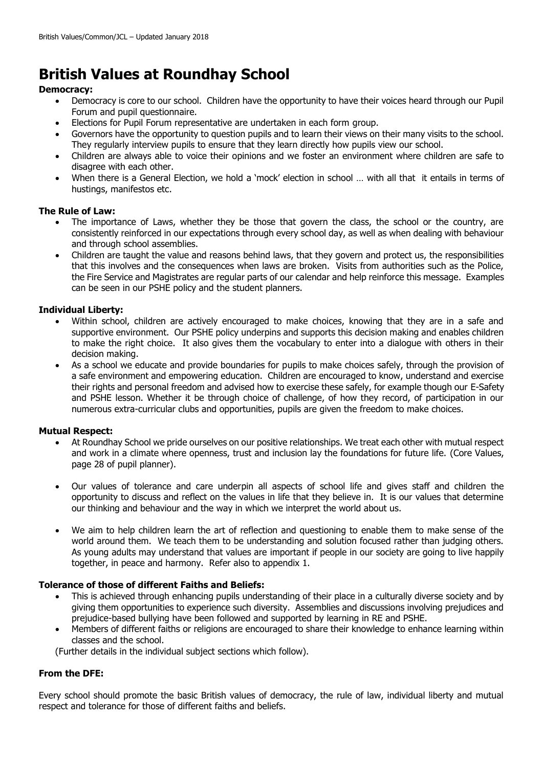# **British Values at Roundhay School**

# **Democracy:**

- Democracy is core to our school. Children have the opportunity to have their voices heard through our Pupil Forum and pupil questionnaire.
- Elections for Pupil Forum representative are undertaken in each form group.
- Governors have the opportunity to question pupils and to learn their views on their many visits to the school. They regularly interview pupils to ensure that they learn directly how pupils view our school.
- Children are always able to voice their opinions and we foster an environment where children are safe to disagree with each other.
- When there is a General Election, we hold a 'mock' election in school ... with all that it entails in terms of hustings, manifestos etc.

### **The Rule of Law:**

- The importance of Laws, whether they be those that govern the class, the school or the country, are consistently reinforced in our expectations through every school day, as well as when dealing with behaviour and through school assemblies.
- Children are taught the value and reasons behind laws, that they govern and protect us, the responsibilities that this involves and the consequences when laws are broken. Visits from authorities such as the Police, the Fire Service and Magistrates are regular parts of our calendar and help reinforce this message. Examples can be seen in our PSHE policy and the student planners.

### **Individual Liberty:**

- Within school, children are actively encouraged to make choices, knowing that they are in a safe and supportive environment. Our PSHE policy underpins and supports this decision making and enables children to make the right choice. It also gives them the vocabulary to enter into a dialogue with others in their decision making.
- As a school we educate and provide boundaries for pupils to make choices safely, through the provision of a safe environment and empowering education. Children are encouraged to know, understand and exercise their rights and personal freedom and advised how to exercise these safely, for example though our E-Safety and PSHE lesson. Whether it be through choice of challenge, of how they record, of participation in our numerous extra-curricular clubs and opportunities, pupils are given the freedom to make choices.

### **Mutual Respect:**

- At Roundhay School we pride ourselves on our positive relationships. We treat each other with mutual respect and work in a climate where openness, trust and inclusion lay the foundations for future life. (Core Values, page 28 of pupil planner).
- Our values of tolerance and care underpin all aspects of school life and gives staff and children the opportunity to discuss and reflect on the values in life that they believe in. It is our values that determine our thinking and behaviour and the way in which we interpret the world about us.
- We aim to help children learn the art of reflection and questioning to enable them to make sense of the world around them. We teach them to be understanding and solution focused rather than judging others. As young adults may understand that values are important if people in our society are going to live happily together, in peace and harmony. Refer also to appendix 1.

### **Tolerance of those of different Faiths and Beliefs:**

- This is achieved through enhancing pupils understanding of their place in a culturally diverse society and by giving them opportunities to experience such diversity. Assemblies and discussions involving prejudices and prejudice-based bullying have been followed and supported by learning in RE and PSHE.
- Members of different faiths or religions are encouraged to share their knowledge to enhance learning within classes and the school.

(Further details in the individual subject sections which follow).

### **From the DFE:**

Every school should promote the basic British values of democracy, the rule of law, individual liberty and mutual respect and tolerance for those of different faiths and beliefs.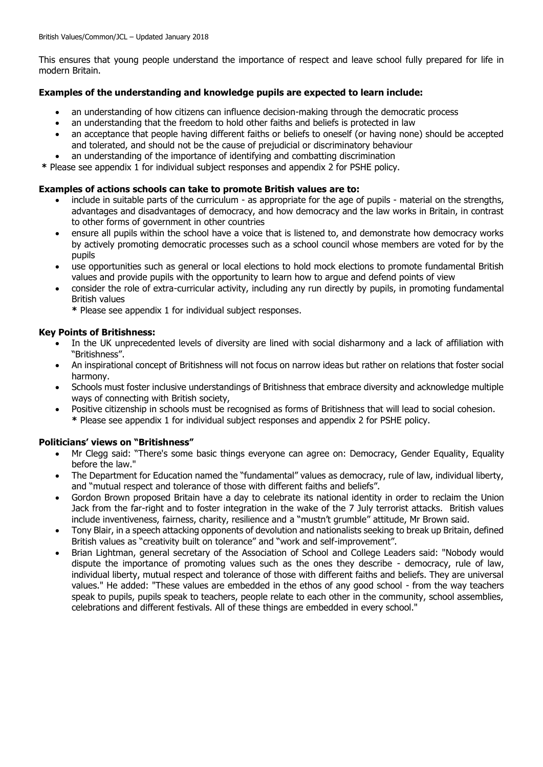This ensures that young people understand the importance of respect and leave school fully prepared for life in modern Britain.

### **Examples of the understanding and knowledge pupils are expected to learn include:**

- an understanding of how citizens can influence decision-making through the democratic process
- an understanding that the freedom to hold other faiths and beliefs is protected in law
- an acceptance that people having different faiths or beliefs to oneself (or having none) should be accepted and tolerated, and should not be the cause of prejudicial or discriminatory behaviour
- an understanding of the importance of identifying and combatting discrimination

**\*** Please see appendix 1 for individual subject responses and appendix 2 for PSHE policy.

### **Examples of actions schools can take to promote British values are to:**

- include in suitable parts of the curriculum as appropriate for the age of pupils material on the strengths, advantages and disadvantages of democracy, and how democracy and the law works in Britain, in contrast to other forms of government in other countries
- ensure all pupils within the school have a voice that is listened to, and demonstrate how democracy works by actively promoting democratic processes such as a school council whose members are voted for by the pupils
- use opportunities such as general or local elections to hold mock elections to promote fundamental British values and provide pupils with the opportunity to learn how to argue and defend points of view
- consider the role of extra-curricular activity, including any run directly by pupils, in promoting fundamental British values
	- **\*** Please see appendix 1 for individual subject responses.

### **Key Points of Britishness:**

- In the UK unprecedented levels of diversity are lined with social disharmony and a lack of affiliation with "Britishness".
- An inspirational concept of Britishness will not focus on narrow ideas but rather on relations that foster social harmony.
- Schools must foster inclusive understandings of Britishness that embrace diversity and acknowledge multiple ways of connecting with British society,
- Positive citizenship in schools must be recognised as forms of Britishness that will lead to social cohesion.
	- **\*** Please see appendix 1 for individual subject responses and appendix 2 for PSHE policy.

### **Politicians' views on "Britishness"**

- Mr Clegg said: "There's some basic things everyone can agree on: Democracy, Gender Equality, Equality before the law."
- The Department for Education named the "fundamental" values as democracy, rule of law, individual liberty, and "mutual respect and tolerance of those with different faiths and beliefs".
- Gordon Brown proposed Britain have a day to celebrate its national identity in order to reclaim the Union Jack from the far-right and to foster integration in the wake of the 7 July terrorist attacks. British values include inventiveness, fairness, charity, resilience and a "mustn't grumble" attitude, Mr Brown said.
- Tony Blair, in a speech attacking opponents of devolution and nationalists seeking to break up Britain, defined British values as "creativity built on tolerance" and "work and self-improvement".
- Brian Lightman, general secretary of the Association of School and College Leaders said: "Nobody would dispute the importance of promoting values such as the ones they describe - democracy, rule of law, individual liberty, mutual respect and tolerance of those with different faiths and beliefs. They are universal values." He added: "These values are embedded in the ethos of any good school - from the way teachers speak to pupils, pupils speak to teachers, people relate to each other in the community, school assemblies, celebrations and different festivals. All of these things are embedded in every school."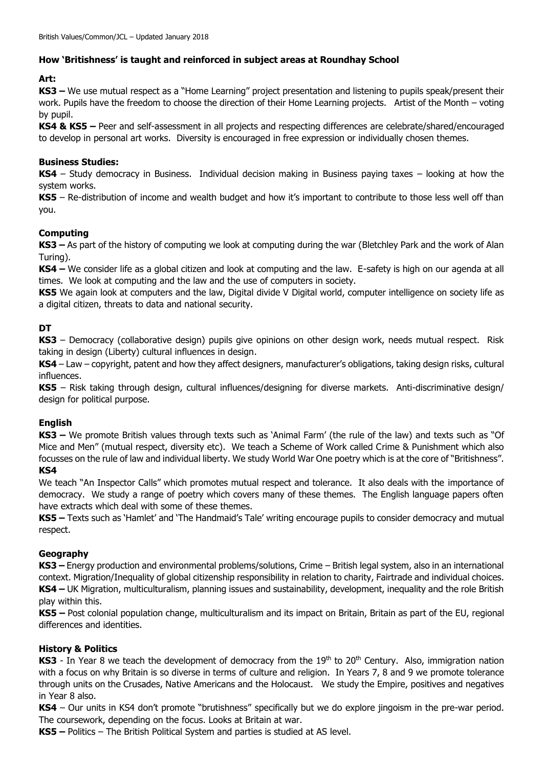# **How 'Britishness' is taught and reinforced in subject areas at Roundhay School**

# **Art:**

**KS3 –** We use mutual respect as a "Home Learning" project presentation and listening to pupils speak/present their work. Pupils have the freedom to choose the direction of their Home Learning projects. Artist of the Month – voting by pupil.

**KS4 & KS5 –** Peer and self-assessment in all projects and respecting differences are celebrate/shared/encouraged to develop in personal art works. Diversity is encouraged in free expression or individually chosen themes.

### **Business Studies:**

**KS4** – Study democracy in Business. Individual decision making in Business paying taxes – looking at how the system works.

**KS5** – Re-distribution of income and wealth budget and how it's important to contribute to those less well off than you.

# **Computing**

**KS3 –** As part of the history of computing we look at computing during the war (Bletchley Park and the work of Alan Turing).

**KS4 –** We consider life as a global citizen and look at computing and the law. E-safety is high on our agenda at all times. We look at computing and the law and the use of computers in society.

**KS5** We again look at computers and the law, Digital divide V Digital world, computer intelligence on society life as a digital citizen, threats to data and national security.

# **DT**

**KS3** – Democracy (collaborative design) pupils give opinions on other design work, needs mutual respect. Risk taking in design (Liberty) cultural influences in design.

**KS4** – Law – copyright, patent and how they affect designers, manufacturer's obligations, taking design risks, cultural influences.

**KS5** – Risk taking through design, cultural influences/designing for diverse markets. Anti-discriminative design/ design for political purpose.

### **English**

**KS3 –** We promote British values through texts such as 'Animal Farm' (the rule of the law) and texts such as "Of Mice and Men" (mutual respect, diversity etc). We teach a Scheme of Work called Crime & Punishment which also focusses on the rule of law and individual liberty. We study World War One poetry which is at the core of "Britishness".

# **KS4**

We teach "An Inspector Calls" which promotes mutual respect and tolerance. It also deals with the importance of democracy. We study a range of poetry which covers many of these themes. The English language papers often have extracts which deal with some of these themes.

**KS5 –** Texts such as 'Hamlet' and 'The Handmaid's Tale' writing encourage pupils to consider democracy and mutual respect.

### **Geography**

**KS3 –** Energy production and environmental problems/solutions, Crime – British legal system, also in an international context. Migration/Inequality of global citizenship responsibility in relation to charity, Fairtrade and individual choices. **KS4 –** UK Migration, multiculturalism, planning issues and sustainability, development, inequality and the role British play within this.

**KS5 –** Post colonial population change, multiculturalism and its impact on Britain, Britain as part of the EU, regional differences and identities.

### **History & Politics**

KS3 - In Year 8 we teach the development of democracy from the 19<sup>th</sup> to 20<sup>th</sup> Century. Also, immigration nation with a focus on why Britain is so diverse in terms of culture and religion. In Years 7, 8 and 9 we promote tolerance through units on the Crusades, Native Americans and the Holocaust. We study the Empire, positives and negatives in Year 8 also.

**KS4** – Our units in KS4 don't promote "brutishness" specifically but we do explore jingoism in the pre-war period. The coursework, depending on the focus. Looks at Britain at war.

**KS5 –** Politics – The British Political System and parties is studied at AS level.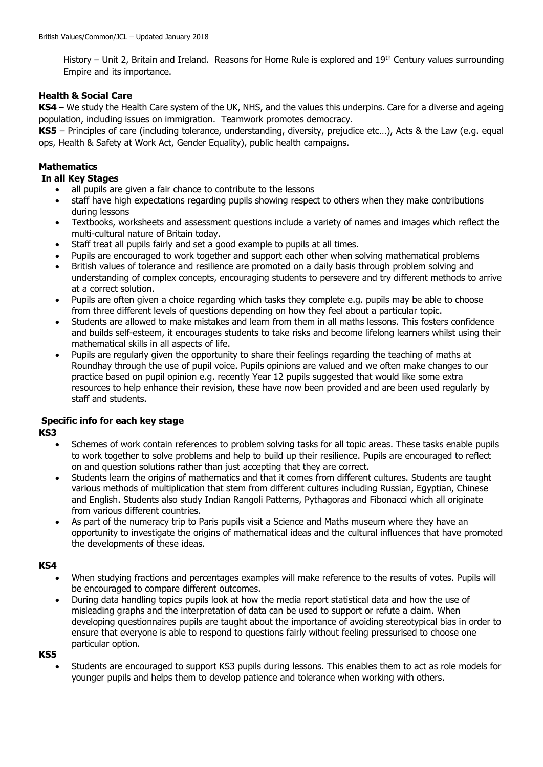History – Unit 2, Britain and Ireland. Reasons for Home Rule is explored and 19<sup>th</sup> Century values surrounding Empire and its importance.

### **Health & Social Care**

**KS4** – We study the Health Care system of the UK, NHS, and the values this underpins. Care for a diverse and ageing population, including issues on immigration. Teamwork promotes democracy.

**KS5** – Principles of care (including tolerance, understanding, diversity, prejudice etc…), Acts & the Law (e.g. equal ops, Health & Safety at Work Act, Gender Equality), public health campaigns.

### **Mathematics**

### **In all Key Stages**

- all pupils are given a fair chance to contribute to the lessons
- staff have high expectations regarding pupils showing respect to others when they make contributions during lessons
- Textbooks, worksheets and assessment questions include a variety of names and images which reflect the multi-cultural nature of Britain today.
- Staff treat all pupils fairly and set a good example to pupils at all times.
- Pupils are encouraged to work together and support each other when solving mathematical problems
- British values of tolerance and resilience are promoted on a daily basis through problem solving and understanding of complex concepts, encouraging students to persevere and try different methods to arrive at a correct solution.
- Pupils are often given a choice regarding which tasks they complete e.g. pupils may be able to choose from three different levels of questions depending on how they feel about a particular topic.
- Students are allowed to make mistakes and learn from them in all maths lessons. This fosters confidence and builds self-esteem, it encourages students to take risks and become lifelong learners whilst using their mathematical skills in all aspects of life.
- Pupils are regularly given the opportunity to share their feelings regarding the teaching of maths at Roundhay through the use of pupil voice. Pupils opinions are valued and we often make changes to our practice based on pupil opinion e.g. recently Year 12 pupils suggested that would like some extra resources to help enhance their revision, these have now been provided and are been used regularly by staff and students.

### **Specific info for each key stage**

**KS3**

- Schemes of work contain references to problem solving tasks for all topic areas. These tasks enable pupils to work together to solve problems and help to build up their resilience. Pupils are encouraged to reflect on and question solutions rather than just accepting that they are correct.
- Students learn the origins of mathematics and that it comes from different cultures. Students are taught various methods of multiplication that stem from different cultures including Russian, Egyptian, Chinese and English. Students also study Indian Rangoli Patterns, Pythagoras and Fibonacci which all originate from various different countries.
- As part of the numeracy trip to Paris pupils visit a Science and Maths museum where they have an opportunity to investigate the origins of mathematical ideas and the cultural influences that have promoted the developments of these ideas.

### **KS4**

- When studying fractions and percentages examples will make reference to the results of votes. Pupils will be encouraged to compare different outcomes.
- During data handling topics pupils look at how the media report statistical data and how the use of misleading graphs and the interpretation of data can be used to support or refute a claim. When developing questionnaires pupils are taught about the importance of avoiding stereotypical bias in order to ensure that everyone is able to respond to questions fairly without feeling pressurised to choose one particular option.

**KS5**

 Students are encouraged to support KS3 pupils during lessons. This enables them to act as role models for younger pupils and helps them to develop patience and tolerance when working with others.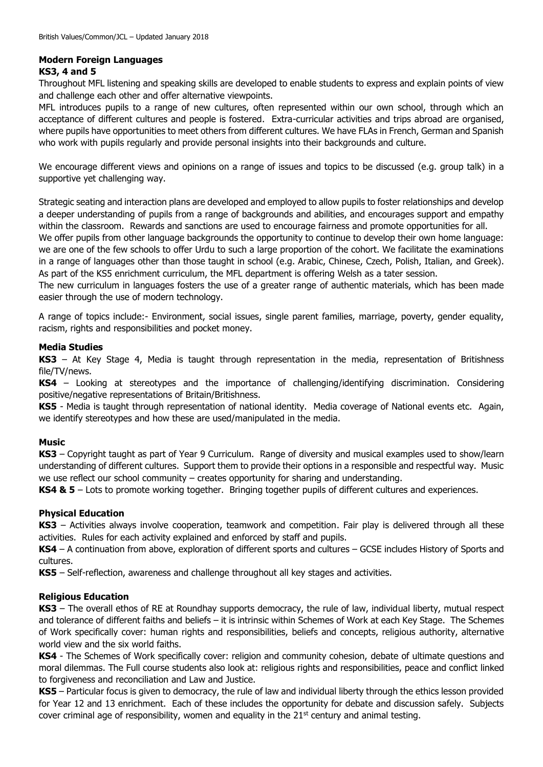### **Modern Foreign Languages**

### **KS3, 4 and 5**

Throughout MFL listening and speaking skills are developed to enable students to express and explain points of view and challenge each other and offer alternative viewpoints.

MFL introduces pupils to a range of new cultures, often represented within our own school, through which an acceptance of different cultures and people is fostered. Extra-curricular activities and trips abroad are organised, where pupils have opportunities to meet others from different cultures. We have FLAs in French, German and Spanish who work with pupils regularly and provide personal insights into their backgrounds and culture.

We encourage different views and opinions on a range of issues and topics to be discussed (e.g. group talk) in a supportive yet challenging way.

Strategic seating and interaction plans are developed and employed to allow pupils to foster relationships and develop a deeper understanding of pupils from a range of backgrounds and abilities, and encourages support and empathy within the classroom. Rewards and sanctions are used to encourage fairness and promote opportunities for all.

We offer pupils from other language backgrounds the opportunity to continue to develop their own home language: we are one of the few schools to offer Urdu to such a large proportion of the cohort. We facilitate the examinations in a range of languages other than those taught in school (e.g. Arabic, Chinese, Czech, Polish, Italian, and Greek). As part of the KS5 enrichment curriculum, the MFL department is offering Welsh as a tater session.

The new curriculum in languages fosters the use of a greater range of authentic materials, which has been made easier through the use of modern technology.

A range of topics include:- Environment, social issues, single parent families, marriage, poverty, gender equality, racism, rights and responsibilities and pocket money.

### **Media Studies**

**KS3** – At Key Stage 4, Media is taught through representation in the media, representation of Britishness file/TV/news.

**KS4** – Looking at stereotypes and the importance of challenging/identifying discrimination. Considering positive/negative representations of Britain/Britishness.

**KS5** - Media is taught through representation of national identity. Media coverage of National events etc. Again, we identify stereotypes and how these are used/manipulated in the media.

### **Music**

**KS3** – Copyright taught as part of Year 9 Curriculum. Range of diversity and musical examples used to show/learn understanding of different cultures. Support them to provide their options in a responsible and respectful way. Music we use reflect our school community – creates opportunity for sharing and understanding.

**KS4 & 5** – Lots to promote working together. Bringing together pupils of different cultures and experiences.

### **Physical Education**

**KS3** – Activities always involve cooperation, teamwork and competition. Fair play is delivered through all these activities. Rules for each activity explained and enforced by staff and pupils.

**KS4** – A continuation from above, exploration of different sports and cultures – GCSE includes History of Sports and cultures.

**KS5** – Self-reflection, awareness and challenge throughout all key stages and activities.

### **Religious Education**

**KS3** – The overall ethos of RE at Roundhay supports democracy, the rule of law, individual liberty, mutual respect and tolerance of different faiths and beliefs – it is intrinsic within Schemes of Work at each Key Stage. The Schemes of Work specifically cover: human rights and responsibilities, beliefs and concepts, religious authority, alternative world view and the six world faiths.

**KS4** - The Schemes of Work specifically cover: religion and community cohesion, debate of ultimate questions and moral dilemmas. The Full course students also look at: religious rights and responsibilities, peace and conflict linked to forgiveness and reconciliation and Law and Justice.

**KS5** – Particular focus is given to democracy, the rule of law and individual liberty through the ethics lesson provided for Year 12 and 13 enrichment. Each of these includes the opportunity for debate and discussion safely. Subjects cover criminal age of responsibility, women and equality in the  $21<sup>st</sup>$  century and animal testing.